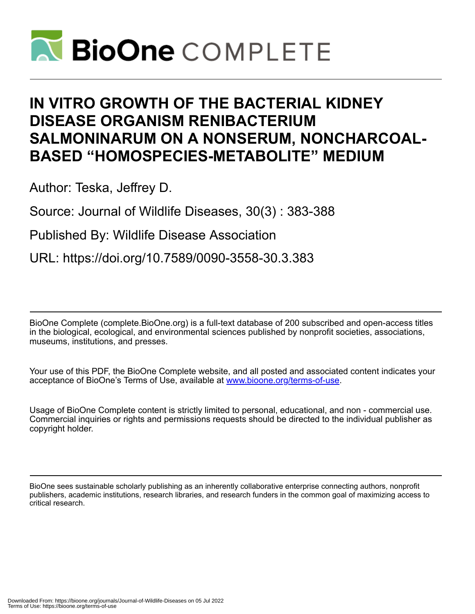

# **IN VITRO GROWTH OF THE BACTERIAL KIDNEY DISEASE ORGANISM RENIBACTERIUM SALMONINARUM ON A NONSERUM, NONCHARCOAL-BASED "HOMOSPECIES-METABOLITE" MEDIUM**

Author: Teska, Jeffrey D.

Source: Journal of Wildlife Diseases, 30(3) : 383-388

Published By: Wildlife Disease Association

URL: https://doi.org/10.7589/0090-3558-30.3.383

BioOne Complete (complete.BioOne.org) is a full-text database of 200 subscribed and open-access titles in the biological, ecological, and environmental sciences published by nonprofit societies, associations, museums, institutions, and presses.

Your use of this PDF, the BioOne Complete website, and all posted and associated content indicates your acceptance of BioOne's Terms of Use, available at www.bioone.org/terms-of-use.

Usage of BioOne Complete content is strictly limited to personal, educational, and non - commercial use. Commercial inquiries or rights and permissions requests should be directed to the individual publisher as copyright holder.

BioOne sees sustainable scholarly publishing as an inherently collaborative enterprise connecting authors, nonprofit publishers, academic institutions, research libraries, and research funders in the common goal of maximizing access to critical research.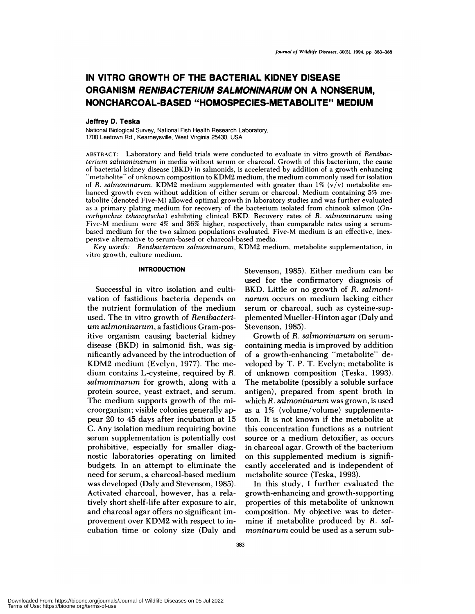# **IN VITRO GROWTH OF THE BACTERIAL KIDNEY DISEASE ORGANISM RENIBACTERIUM SALMONINARUM ON A NONSERUM, NONCHARCOAL-BASED "HOMOSPECIES-METABOLITE" MEDIUM**

### **Jeffrey D. Teska**

National Biological Survey, National Fish Health Research Laboratory, 1700 Leetown Rd., Kearneysville, West Virginia 25430, USA

**ABSTRACT:** Laboratory and field trials were conducted to evaluate in vitro growth of *Renibac* terium *salmoninarum* in media without serum or charcoal. Growth of this bacterium, the cause of bacterial kidney disease (BKD) in salmonids, is accelerated by addition of a growth enhancing "metabolite" of unknown composition to KDM2 medium, the medium commonly used for isolation of *R. salmoninarum.* KDM2 medium supplemented with greater than  $1\%$  (v/v) metabolite enhanced growth even without addition of either serum or charcoal. Medium containing 5% metabolite (denoted Five-M) allowed optimal growth in laboratory studies and was further evaluated as a primary plating medium for recovery of the bacterium isolated from chinook salmon *(On*corhynchus *tshawytscha)* exhibiting clinical BKD. Recovery rates of *R. salmoninarum* using Five-M medium were 4% and 36% higher, respectively, than comparable rates using a serum based medium for the two salmon populations evaluated. Five-M medium is an effective, inexpensive alternative to serum-based or charcoal-based media.

*Key words: Renibacterium salmoninarum,* KDM2 medium, metabolite supplementation, in vitro growth, culture medium.

# **INTRODUCTION**

Successful in vitro isolation and cultivation of fastidious bacteria depends on the nutrient formulation of the medium used. The in vitro growth of *Renibacteri urn sairnoninarurn,* a fastidious Gram-positive organism causing bacterial kidney disease (BKD) in salmonid fish, was significantly advanced by the introduction of KDM2 medium (Evelyn, 1977). The me dium contains L-cysteine, required by *R.* salmoninarum for growth, along with a protein source, yeast extract, and serum. The medium supports growth of the microorganism; visible colonies generally appear 20 to 45 days after incubation at 15 C. Any isolation medium requiring bovine serum supplementation is potentially cost prohibitive, especially for smaller diagnostic laboratories operating on limited budgets. In an attempt to eliminate the need for serum, a charcoal-based medium was developed (Daly and Stevenson, 1985). Activated charcoal, however, has a relatively short shelf-life after exposure to air, and charcoal agar offers no significant improvement over KDM2 with respect to incubation time or colony size (Daly and

Stevenson, 1985). Either medium can be used for the confirmatory diagnosis of BKD. Little or no growth of *R. salmoninarurn* occurs on medium lacking either serum or charcoal, such as cysteine-supplemented Muellen-Hinton agar (Daly and Stevenson, 1985).

Growth of *R. sairnoninarurn* on serum containing media is improved by addition of a growth-enhancing "metabolite" developed by T. P. T. Evelyn; metabolite is of unknown composition (Teska, 1993). The metabolite (possibly a soluble surface antigen), prepared from spent broth in which *R. salmoninarurn* was grown, is used as a 1% (volume/volume) supplementation. It is not known if the metabolite at this concentration functions as a nutrient source on a medium detoxifier, as occurs in charcoal agan. Growth of the bacterium on this supplemented medium is significantly accelerated and is independent of metabolite source (Teska, 1993).

In this study, I further evaluated the growth-enhancing and growth-supporting properties of this metabolite of unknown composition. My objective was to determine if metabolite produced by *R. salrnoninarurn* could be used as a serum sub-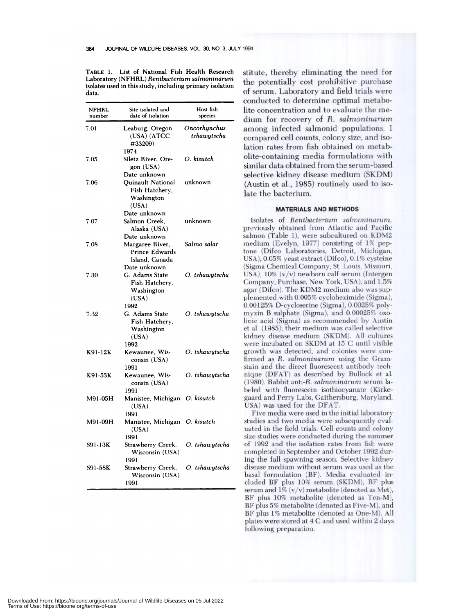Laboratory (NFHRL) Renibacterium salmoninarum<br>the potentially cost prohibitive purchase isolates used in this study, including primary isolation **of serum. Laboratory and** field trials were data

| NFHRL<br>number | Site isolated and<br>date of isolation                                            | Host fish<br>species        |
|-----------------|-----------------------------------------------------------------------------------|-----------------------------|
| 7.01            | Leaburg, Oregon<br>(USA) (ATCC<br>#33209)<br>1974                                 | Oncorhynchus<br>tshawytscha |
| 7.05            | Siletz River, Ore-<br>gon (USA)<br>Date unknown                                   | O. kisutch                  |
| 7.06            | <b>Ouinault National</b><br>Fish Hatchery,<br>Washington<br>(USA)<br>Date unknown | unknown                     |
| 7.07            | Salmon Creek.<br>Alaska (USA)                                                     | unknown                     |
| 7.08            | Date unknown<br>Margaree River,<br>Prince Edwards<br>Island. Canada               | Salmo salar                 |
| 7.30            | Date unknown<br>G. Adams State<br>Fish Hatchery,<br>Washington<br>(USA)           | O. tshawytscha              |
| 7.32            | 1992<br>G. Adams State<br>Fish Hatchery,<br>Washington<br>(USA)                   | O. tshawytscha              |
| K91-12K         | 1992<br>Kewaunee, Wis-<br>consin (USA)<br>1991                                    | O. tshawytscha              |
| K91-53K         | Kewaunee, Wis-<br>consin (USA)<br>1991                                            | O. tshawytscha              |
| M91-05H         | Manistee, Michigan O. kisutch<br>(USA)<br>1991                                    |                             |
| M91-09H         | Manistee, Michigan O. kisutch<br>(USA)                                            |                             |
| S91-13K         | 1991<br>Strawberry Creek,<br>Wisconsin (USA)                                      | O. tshawytscha              |
| S91-58K         | 1991<br>Strawberry Creek,<br>Wisconsin (USA)<br>1991                              | O. tshawytscha              |

TABLE 1. List of National Fish Health Research stitute, thereby eliminating the need for conducted to determine optimal metabolite concentration and to evaluate the me dium for recovery of *R. sairnoninarum* among infected salmonid populations. I compared cell counts, colony size, and isolation rates from fish obtained on metabolite-containing media formulations with similar data obtained from the serum-based selective kidney disease medium (SKDM)  $(Austin et al., 1985)$  routinely used to isolate the bacterium.

# **MATERIALS AND METHODS**

Isolates of *Renibacterlum salmoninarum,* previously obtained from Atlantic and Pacific salmon (Table 1), were subcultured on KDM2 medium (Evelyn, 1977) consisting of 1% peptone (Difco Laboratories, Detroit, Michigan, USA), 0.05% yeast extract (Difco), 0.1% cysteine (Sigma Chemical Company, St. Louis, Missouri, USA),  $10\%$  (v/v) newborn calf serum (Intergen Company, Purchase, New York, USA), and 1.5% agar (Difco). The KDM2 medium also was supplemented with 0.005% cycloheximide (Sigma), 0.00125% D-cyclosenine (Sigma), 0.0025% polymyxin B sulphate (Sigma), and 0.00025% oxolinic acid (Sigma) as recommended by Austin et al. (1985); their medium was called selective kidney disease medium (SKDM). All cultures wene incubated on SKDM at 15 C until visible growth was detected, and colonies were confirmed as *R. salmoninarum* using the Gram stain and the direct fluorescent antibody tech nique (DFAT) as described by Bullock et a!. (1980). Rabbit anti-R. *sairnoninarum* serum Ia beled with fluorescein isothiocyanate (Kirkegaand and Perry Labs, Gaithersburg, Maryland, USA) was used for the **DFAT.**

Five media were used in the initial laboratory studies and two media were subsequently eva! uated in the field trials. Cell counts and colony size studies were conducted during the summer of 1992 and the isolation rates from fish were completed in September and October 1992 during the fall spawning season. Selective kidney disease medium without serum was used as the basal formulation (BF). Media evaluated ineluded BF plus 10% serum (SKDM), BF plus serum and  $1\%$  (v/v) metabolite (denoted as Met), **BF** plus 10% metabolite (denoted as Ten-M), **BF** plus 5% metabolite (denoted as Five-M), and **BF** plus 1% metabolite (denoted as One-M). All plates were stored at **4 C** and used within 2 days following preparation.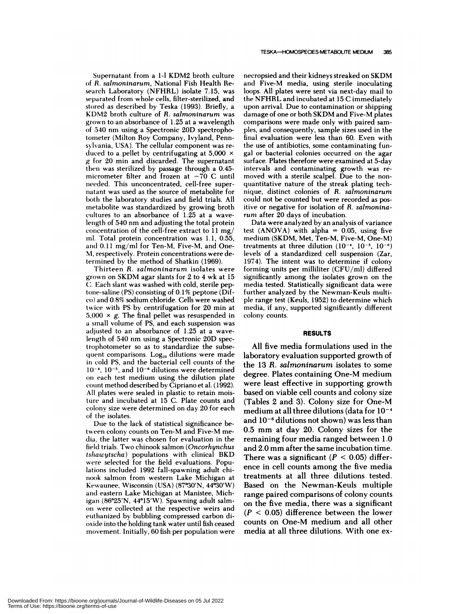TESKA-HOMOSPECIES-METABOLfl'E **MEDIUM 385**

Supernatant from a 1-1 KDM2 broth culture of *R. salmoninarum,* National Fish Health Re search Laboratory (NFHRL) isolate 7.15, was separated from whole cells, filter-sterilized, and stored as described by Teska (1993). Briefly, a KDM2 broth culture of *R. salmoninarum* was grown to an absorbance of 1.25 at a wavelength of 540 nm using a Spectronic 20D spectrophotometer (Milton Roy Company, Ivyland, Pennsylvania, USA). The cellular component was re duced to a pellet by centrifugating at  $5,000 \times$ **g** for 20 mm and discarded. The supernatant then was sterilized by passage through a 0.45 micrometer filter and frozen at  $-70$  C until needed. This unconcentrated, cell-free super natant was used as the source of metabolite for both the laboratory studies and field trials. All metabolite was standardized by growing broth cultures to an absorbance of 1.25 at a wavelength of 540 nm and adjusting the total protein concentration of the cell-free extract to  $11 \text{ mg}$ / ml. Total protein concentration was 1.1, 0.55, and  $0.11 \text{ mg/ml}$  for Ten-M, Five-M, and One-M, respectively. Protein concentrations were determined by the method of Shatkin (1969).

Thirteen *R. salmoninarum* isolates were grown on SKDM agar slants for 2 to 4 wk at 15 C. Each slant was washed with cold, sterile peptone-saline (PS) consisting of 0.1% peptone (Difco) and 0.8% sodium chloride. Cells were washed twice with PS by centrifugation for 20 min at  $5,000 \times g$ . The final pellet was resuspended in a small volume of PS, and each suspension was adjusted to an absorbance of 1.25 at a wavelength of 540 nm using a Spectronic 20D spectrophotometer so as to standardize the subsequent comparisons. Log<sub>10</sub> dilutions were made in cold PS, and the bacterial cell counts of the  $10^{-4}$ ,  $10^{-5}$ , and  $10^{-6}$  dilutions were determined on each test medium using the dilution plate count method described by Cipriano et a!. (1992). All plates were sealed in plastic to retain moisture and incubated at 15 C. Plate counts and colony size were determined on day 20 for each of the isolates.

Due to the lack of statistical significance between colony counts on Ten-M and Five-M me dia, the latter was chosen for evaluation in the field trials. Two chinook salmon *(Oncorhynchus* tshawytscha) populations with clinical BKD were selected for the field evaluations. Populations included 1992 fall-spawning adult chi nook salmon from western Lake Michigan at Kewaunee, Wisconsin (USA) (87°30'N, 44°30'W) and eastern Lake Michigan at Manistee, Michigan  $(86°25'N, 44°15'W)$ . Spawning adult salmon were collected at the respective weirs and euthanized by bubbling compressed carbon di oxide into the holding tank water until fish ceased movement. Initially, 60 fish per population were

necropsied and their kidneys streaked on SKDM and Five-M media, using sterile inoculating loops. All plates were sent via next-day mail to the NFHRL and incubated at 15 C immediately upon arrival. Due to contamination or shipping damage of one or both **SKDM** and Five-M plates comparisons were made only with paired sam ples, and consequently, sample sizes used in the final evaluation were less than 60. Even with the use of antibiotics, some contaminating fungal or bacterial colonies occurred on the agar surface. Plates therefore were examined at 5-day intervals and contaminating growth was re moved with a sterile scalpel. Due to the non quantitative nature of the streak plating technique, distinct colonies of *R. sairnoninarum* could not be counted but were recorded as positive or negative for isolation of *R. salmonina rum* after 20 days of incubation.

Data were analyzed by an analysis of variance test (ANOVA) with alpha =  $0.05$ , using five medium (SKDM, Met, Ten-M, Five-M, One-M) treatments at three dilution  $(10^{-4}, 10^{-5}, 10^{-6})$ levels of a standardized cell suspension (Zar, 1974). The intent was to determine if colony forming units per milliliter (CFU/m!) differed significantly among the isolates grown on the media tested. Statistically significant data were further analyzed by the Newman-Keuls multiple range test (Keuls, 1952) to determine which media, if any, supported significantly different colony counts.

#### **RESULTS**

All five media formulations used in the laboratory evaluation supported growth of the 13 *R. sairnoninarurn* isolates to some degree. Plates containing One-M medium were least effective in supporting growth based on viable cell counts and colony size (Tables 2 and 3). Colony size for One-M medium at all three dilutions (data for  $10^{-4}$ and 10<sup>-6</sup> dilutions not shown) was less than 0.5 mm at day 20. Colony sizes for the remaining four media ranged between 1.0 and 2.0 mm after the same incubation time. There was a significant  $(P < 0.05)$  difference in cell counts among the five media treatments at all three dilutions tested. Based on the Newman-Keuls multiple range paired comparisons of colony counts on the five media, there was a significant *(P* <sup>&</sup>lt; 0.05) difference between the lower counts on One-M medium and all other media at all three dilutions. With one ex-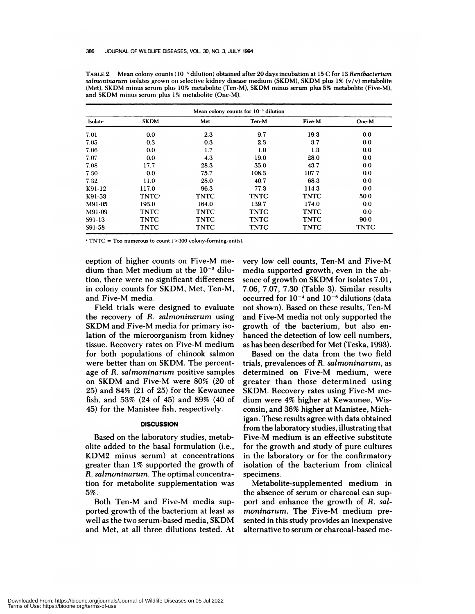|         | Mean colony counts for 10 <sup>-</sup> dilution |             |             |             |             |  |  |
|---------|-------------------------------------------------|-------------|-------------|-------------|-------------|--|--|
| Isolate | <b>SKDM</b>                                     | Met         | Ten-M       | Five-M      | One-M       |  |  |
| 7.01    | 0.0                                             | 23          | 9.7         | 19.3        | 0.0         |  |  |
| 7.05    | 0.3                                             | 0.3         | 2.3         | 3.7         | 0.0         |  |  |
| 7.06    | 0.0                                             | 1.7         | 1.0         | 1.3         | 0.0         |  |  |
| 7.07    | 0.0                                             | 4.3         | 19.0        | 28.0        | 0.0         |  |  |
| 7.08    | 17.7                                            | 28.3        | 35.0        | 43.7        | 0.0         |  |  |
| 7.30    | 0.0                                             | 75.7        | 108.3       | 107.7       | 0.0         |  |  |
| 7.32    | 11.0                                            | 28.0        | 40.7        | 68.3        | 0.0         |  |  |
| K91-12  | 117.0                                           | 96.3        | 77.3        | 114.3       | 0.0         |  |  |
| K91-53  | TNTC <sup>.</sup>                               | <b>TNTC</b> | <b>TNTC</b> | <b>TNTC</b> | 50.0        |  |  |
| M91-05  | 193.0                                           | 164.0       | 139.7       | 174.0       | 0.0         |  |  |
| M91-09  | <b>TNTC</b>                                     | <b>TNTC</b> | <b>TNTC</b> | <b>TNTC</b> | 0.0         |  |  |
| S91-13  | <b>TNTC</b>                                     | <b>TNTC</b> | <b>TNTC</b> | <b>TNTC</b> | 90.0        |  |  |
| S91-58  | TNTC                                            | <b>TNTC</b> | <b>TNTC</b> | <b>TNTC</b> | <b>TNTC</b> |  |  |

TABLE 2. Mean colony counts (10<sup>-5</sup> dilution) obtained after 20 days incubation at 15 C for 13 *Renibacterium salmoninarum* isolates grown on selective kidney disease medium (SKDM), SKDM plus 1% (v/v) metabolite (Met), **SKDM** minus serum plus 10% metabolite (Ten-M), SKDM minus serum plus 5% metabolite (Five-M), and **SKDM** minus serum plus1% metabolite (One-M).

TNTC = Too numerous to count (>300 colony-forming-units).

ception of higher counts on Five-M me dium than Met medium at the  $10^{-5}$  dilution, there were no significant differences in colony counts for SKDM, Met, Ten-M, and Five-M media.

Field trials were designed to evaluate the recovery of *R. sairnoninarurn* using SKDM and Five-M media for primary isolation of the microorganism from kidney tissue. Recovery rates on Five-M medium for both populations of chinook salmon were better than on SKDM. The percentage of *R. salrnoninarurn* positive samples on SKDM and Five-M were 80% (20 of 25) and 84% (21of 25) for the Kewaunee fish, and 53% (24 of 45) and 89% (40 of 45) for the Manistee fish, respectively.

# **DISCUSSION**

Based on the laboratory studies, metabolite added to the basal formulation (i.e., KDM2 minus serum) at concentrations greaten than 1% supported the growth of *R. sairnoninarurn.* The optimal concentration for metabolite supplementation was 5%.

Both Ten-M and Five-M media supported growth of the bacterium at least as well as the two serum-based media, SKDM and Met, at all three dilutions tested. At very low cell counts, Ten-M and Five-M media supported growth, even in the ab sence of growth on SKDM for isolates 7.01, 7.06, 7.07, 7.30 (Table 3). Similar results occurred for 10<sup>-4</sup> and 10<sup>-6</sup> dilutions (data not shown). Based on these results, Ten-M and Five-M media not only supported the growth of the bacterium, but also en hanced the detection of low cell numbers, as has been described for Met (Teska, 1993).

Based on the data from the two field trials, prevalences of *R. sairnoninarurn,* as determined on Five-M medium, were greater than those determined using SKDM. Recovery rates using Five-M me dium were 4% higher at Kewaunee, Wisconsin, and 36% higher at Manistee, Michigan. These results agree with data obtained from the laboratory studies, illustrating that Five-M medium is an effective substitute for the growth and study of pure cultures in the laboratory or for the confirmatory isolation of the bacterium from clinical specimens.

Metabolite-supplemented medium in the absence of serum or charcoal can support and enhance the growth of *R. salmoninarum.* The Five-M medium presented in this study provides an inexpensive alternative to serum or charcoal-based me-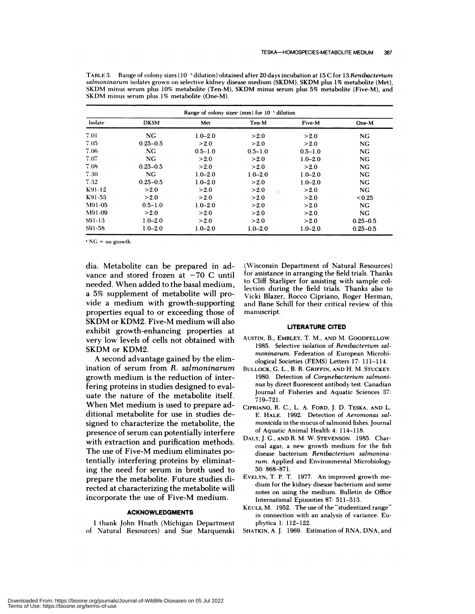| Range of colony sizes $(mm)$ for $10^{-3}$ dilution |              |             |             |             |              |  |  |
|-----------------------------------------------------|--------------|-------------|-------------|-------------|--------------|--|--|
| Isolate                                             | <b>DKSM</b>  | Met         | Ten-M       | Five-M      | One-M        |  |  |
| 7.01                                                | <b>NG</b>    | $1.0 - 2.0$ | >2.0        | >2.0        | <b>NG</b>    |  |  |
| 7.05                                                | $0.25 - 0.5$ | >2.0        | >2.0        | >2.0        | NG.          |  |  |
| 7.06                                                | NG.          | $0.5 - 1.0$ | $0.5 - 1.0$ | $0.5 - 1.0$ | <b>NG</b>    |  |  |
| 7.07                                                | NG.          | >2.0        | >2.0        | $1.0 - 2.0$ | NG           |  |  |
| 7.08                                                | $0.25 - 0.5$ | >2.0        | >2.0        | >2.0        | <b>NG</b>    |  |  |
| 7.30                                                | NG           | $1.0 - 2.0$ | $1.0 - 2.0$ | $1.0 - 2.0$ | NG.          |  |  |
| 7.32                                                | $0.25 - 0.5$ | $1.0 - 2.0$ | >2.0        | $1.0 - 2.0$ | NG.          |  |  |
| K91-12                                              | >2.0         | >2.0        | >2.0        | >2.0        | NG.          |  |  |
| K91-53                                              | >2.0         | >2.0        | >2.0        | >2.0        | < 0.25       |  |  |
| M91-05                                              | $0.5 - 1.0$  | $1.0 - 2.0$ | >2.0        | >2.0        | NG.          |  |  |
| M91-09                                              | >2.0         | >2.0        | >2.0        | >2.0        | NG.          |  |  |
| S91-13                                              | $1.0 - 2.0$  | >2.0        | >2.0        | >2.0        | $0.25 - 0.5$ |  |  |
| S91-58                                              | $1.0 - 2.0$  | $1.0 - 2.0$ | $1.0 - 2.0$ | $1.0 - 2.0$ | $0.25 - 0.5$ |  |  |

TABLE 3. Range of colony sizes (10<sup>-5</sup> dilution) obtained after 20 days incubation at 15 C for 13 Renibacterium *salnioninarum* isolates grown on selective kidney disease medium (SKDM), SKDM plus 1% metabolite (Met), SKDM minus serum plus 10% metabolite (Ten-M), SKDM minus serum plus 5% metabolite (Five-M), and SKDM minus serum plus 1% metabolite (One-M).

NC = no growth.

dia. Metabolite can be prepared in ad vance and stored frozen at  $-70$  C until needed. When added to the basal medium, a 5% supplement of metabolite will provide a medium with growth-supporting properties equal to or exceeding those of SKDM or KDM2. Five-M medium willalso exhibit growth-enhancing properties at very low levels of cells not obtained with SKDM or KDM2.

A second advantage gained by the elimination of serum from *R. salrnoninarurn* growth medium is the reduction of interfering proteins in studies designed to evaluate the nature of the metabolite itself. When Met medium is used to prepare additional metabolite for use in studies designed to characterize the metabolite, the presence of serum can potentially interfere with extraction and purification methods. The use of Five-M medium eliminates potentially interfering proteins by eliminating the need for serum in broth used to prepare the metabolite. Future studies directed at characterizing the metabolite will incorporate the use of Five-M medium.

# **ACKNOWLEDGMENTS**

I thank John Hnath (Michigan Department of Natural Resources) and Sue Marquenski

(Wisconsin Department of Natural Resources) for assistance in arranging the field trials. Thanks **to** Cliff Starliper for assisting with sample collection during the field trials. Thanks also to Vicki Blazer, Rocco Cipriano, Roger Herman, and Bane Schill for their critical review of this manuscript.

#### **LITERATURE CITED**

- AUSTIN, B. **, EMBLEY,** T. M. **,** AND M. **COODFELLOW.** 1985. Selective isolation of *Renibacterium salmoninarum.* Federation of European Microbi ological Societies (FEMS) Letters 17: 111-114.
- BULLOCK, **C. L. , B. R. CRIFFIN, AND** H. M. **STUCKEY.** 1980. Detection of *Corynebacterium salrnoni nus* by direct fluorescent antibody test. Canadian Journal of Fisheries and Aquatic Sciences 37: 7 19-721.
- **CIPRIANO,** R. C. **, L. A. FORD,** J. D. **TESKA, AND** L. E. **HALE.** 1992. Detection of *Aeromonas salmonicida* in the mucus of salmonid fishes. Journal of Aquatic Animal Health 4: 114-118.
- **DALY,** J. C., **AND** R. M. W. STEVENSON. 1985. Char coal agar, a new growth medium for the fish disease bacterium *Renibacterium salmonina rum.* Applied and Environmental Microbiology 50: 868-871.
- **EVELYN,** T. P. T. 1977. An improved growth **me** dium for the kidney disease bacterium and some notes on using the medium. Bulletin de Office International Epizooties 87: 511-513.
- KEULS, M. 1952. The use of the "studentized range" in connection with an analysis of variance. Eu phytica 1: 112-122.
- SHATKIN, A. J. 1969. Estimation of RNA, DNA, and